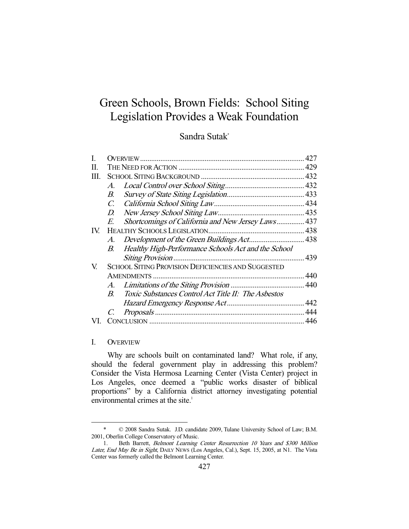# Green Schools, Brown Fields: School Siting Legislation Provides a Weak Foundation

# Sandra Sutak\*

|      |                                                           |                                                     | 427 |
|------|-----------------------------------------------------------|-----------------------------------------------------|-----|
| П.   |                                                           |                                                     |     |
| III. |                                                           |                                                     |     |
|      | $\mathcal{A}.$                                            |                                                     |     |
|      | В.                                                        |                                                     |     |
|      | $\mathcal{C}$                                             |                                                     |     |
|      | D.                                                        |                                                     |     |
|      | E.                                                        | Shortcomings of California and New Jersey Laws 437  |     |
| IV.  |                                                           |                                                     |     |
|      | A.                                                        |                                                     |     |
|      | В.                                                        | Healthy High-Performance Schools Act and the School |     |
|      |                                                           |                                                     |     |
| V.   | <b>SCHOOL SITING PROVISION DEFICIENCIES AND SUGGESTED</b> |                                                     |     |
|      |                                                           |                                                     | 440 |
|      | $A_{\cdot}$                                               |                                                     |     |
|      | $B_{\cdot}$                                               | Toxic Substances Control Act Title II: The Asbestos |     |
|      |                                                           |                                                     |     |
|      |                                                           |                                                     |     |
|      |                                                           |                                                     | 446 |
|      |                                                           |                                                     |     |

#### I. OVERVIEW

-

 Why are schools built on contaminated land? What role, if any, should the federal government play in addressing this problem? Consider the Vista Hermosa Learning Center (Vista Center) project in Los Angeles, once deemed a "public works disaster of biblical proportions" by a California district attorney investigating potential environmental crimes at the site.<sup>1</sup>

 <sup>\* © 2008</sup> Sandra Sutak. J.D. candidate 2009, Tulane University School of Law; B.M. 2001, Oberlin College Conservatory of Music.

 <sup>1.</sup> Beth Barrett, Belmont Learning Center Resurrection 10 Years and \$300 Million Later, End May Be in Sight, DAILY NEWS (Los Angeles, Cal.), Sept. 15, 2005, at N1. The Vista Center was formerly called the Belmont Learning Center.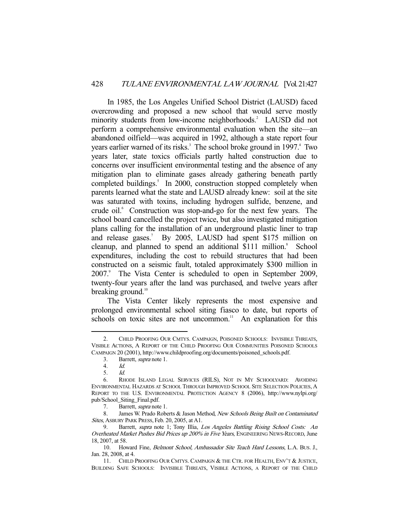In 1985, the Los Angeles Unified School District (LAUSD) faced overcrowding and proposed a new school that would serve mostly minority students from low-income neighborhoods.<sup>2</sup> LAUSD did not perform a comprehensive environmental evaluation when the site—an abandoned oilfield—was acquired in 1992, although a state report four years earlier warned of its risks.<sup>3</sup> The school broke ground in 1997.<sup>4</sup> Two years later, state toxics officials partly halted construction due to concerns over insufficient environmental testing and the absence of any mitigation plan to eliminate gases already gathering beneath partly completed buildings.<sup>5</sup> In 2000, construction stopped completely when parents learned what the state and LAUSD already knew: soil at the site was saturated with toxins, including hydrogen sulfide, benzene, and crude oil.<sup>6</sup> Construction was stop-and-go for the next few years. The school board cancelled the project twice, but also investigated mitigation plans calling for the installation of an underground plastic liner to trap and release gases.<sup>7</sup> By 2005, LAUSD had spent \$175 million on cleanup, and planned to spend an additional \$111 million.<sup>8</sup> School expenditures, including the cost to rebuild structures that had been constructed on a seismic fault, totaled approximately \$300 million in 2007.<sup>9</sup> The Vista Center is scheduled to open in September 2009, twenty-four years after the land was purchased, and twelve years after breaking ground.<sup>10</sup>

 The Vista Center likely represents the most expensive and prolonged environmental school siting fiasco to date, but reports of schools on toxic sites are not uncommon.<sup>11</sup> An explanation for this

 <sup>2.</sup> CHILD PROOFING OUR CMTYS. CAMPAIGN, POISONED SCHOOLS: INVISIBLE THREATS, VISIBLE ACTIONS, A REPORT OF THE CHILD PROOFING OUR COMMUNITIES POISONED SCHOOLS CAMPAIGN 20 (2001), http://www.childproofing.org/documents/poisoned\_schools.pdf.

 <sup>3.</sup> Barrett, supra note 1.

<sup>4.</sup> *Id.*<br>5. *Id.* 

 <sup>5.</sup> Id.

 <sup>6.</sup> RHODE ISLAND LEGAL SERVICES (RILS), NOT IN MY SCHOOLYARD: AVOIDING ENVIRONMENTAL HAZARDS AT SCHOOL THROUGH IMPROVED SCHOOL SITE SELECTION POLICIES, A REPORT TO THE U.S. ENVIRONMENTAL PROTECTION AGENCY 8 (2006), http://www.nylpi.org/ pub/School\_Siting\_Final.pdf.

 <sup>7.</sup> Barrett, supra note 1.

 <sup>8.</sup> James W. Prado Roberts & Jason Method, New Schools Being Built on Contaminated Sites, ASBURY PARK PRESS, Feb. 20, 2005, at A1.

<sup>9.</sup> Barrett, supra note 1; Tony Illia, Los Angeles Battling Rising School Costs: An Overheated Market Pushes Bid Prices up 200% in Five Years, ENGINEERING NEWS-RECORD, June 18, 2007, at 58.

<sup>10.</sup> Howard Fine, Belmont School, Ambassador Site Teach Hard Lessons, L.A. BUS. J., Jan. 28, 2008, at 4.

 <sup>11.</sup> CHILD PROOFING OUR CMTYS. CAMPAIGN & THE CTR. FOR HEALTH, ENV'T & JUSTICE, BUILDING SAFE SCHOOLS: INVISIBLE THREATS, VISIBLE ACTIONS, A REPORT OF THE CHILD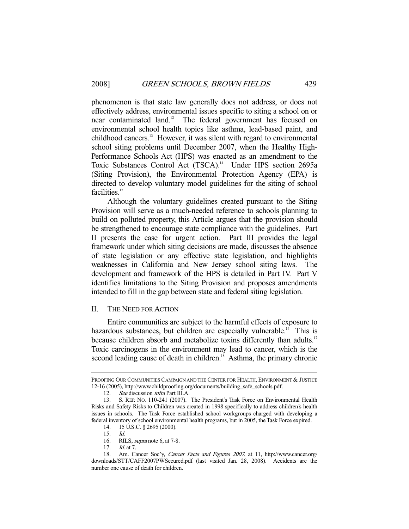phenomenon is that state law generally does not address, or does not effectively address, environmental issues specific to siting a school on or near contaminated land.<sup>12</sup> The federal government has focused on environmental school health topics like asthma, lead-based paint, and childhood cancers.13 However, it was silent with regard to environmental school siting problems until December 2007, when the Healthy High-Performance Schools Act (HPS) was enacted as an amendment to the Toxic Substances Control Act (TSCA).<sup>14</sup> Under HPS section 2695a (Siting Provision), the Environmental Protection Agency (EPA) is directed to develop voluntary model guidelines for the siting of school facilities.<sup>15</sup>

 Although the voluntary guidelines created pursuant to the Siting Provision will serve as a much-needed reference to schools planning to build on polluted property, this Article argues that the provision should be strengthened to encourage state compliance with the guidelines. Part II presents the case for urgent action. Part III provides the legal framework under which siting decisions are made, discusses the absence of state legislation or any effective state legislation, and highlights weaknesses in California and New Jersey school siting laws. The development and framework of the HPS is detailed in Part IV. Part V identifies limitations to the Siting Provision and proposes amendments intended to fill in the gap between state and federal siting legislation.

#### II. THE NEED FOR ACTION

 Entire communities are subject to the harmful effects of exposure to hazardous substances, but children are especially vulnerable.<sup>16</sup> This is because children absorb and metabolize toxins differently than adults.<sup>17</sup> Toxic carcinogens in the environment may lead to cancer, which is the second leading cause of death in children.<sup>18</sup> Asthma, the primary chronic

-

17. *Id.* at 7.

PROOFING OUR COMMUNITIES CAMPAIGN AND THE CENTER FOR HEALTH, ENVIRONMENT & JUSTICE 12-16 (2005), http://www.childproofing.org/documents/building\_safe\_schools.pdf.

 <sup>12.</sup> See discussion infra Part III.A.

 <sup>13.</sup> S. REP. NO. 110-241 (2007). The President's Task Force on Environmental Health Risks and Safety Risks to Children was created in 1998 specifically to address children's health issues in schools. The Task Force established school workgroups charged with developing a federal inventory of school environmental health programs, but in 2005, the Task Force expired.

 <sup>14. 15</sup> U.S.C. § 2695 (2000).

 <sup>15.</sup> Id.

 <sup>16.</sup> RILS, supra note 6, at 7-8.

 <sup>18.</sup> Am. Cancer Soc'y, Cancer Facts and Figures 2007, at 11, http://www.cancer.org/ downloads/STT/CAFF2007PWSecured.pdf (last visited Jan. 28, 2008). Accidents are the number one cause of death for children.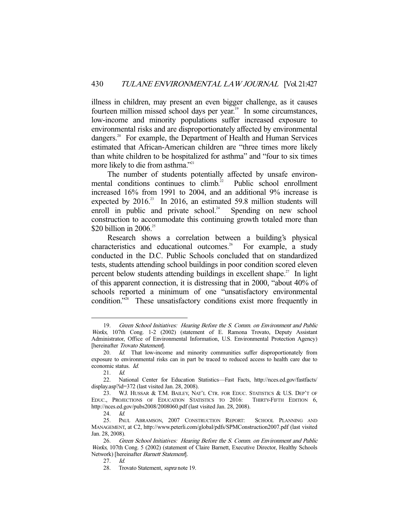illness in children, may present an even bigger challenge, as it causes fourteen million missed school days per year.<sup>19</sup> In some circumstances, low-income and minority populations suffer increased exposure to environmental risks and are disproportionately affected by environmental dangers.<sup>20</sup> For example, the Department of Health and Human Services estimated that African-American children are "three times more likely than white children to be hospitalized for asthma" and "four to six times more likely to die from asthma."<sup>21</sup>

 The number of students potentially affected by unsafe environmental conditions continues to climb.<sup>22</sup> Public school enrollment increased 16% from 1991 to 2004, and an additional 9% increase is expected by  $2016$ .<sup>23</sup> In 2016, an estimated 59.8 million students will enroll in public and private school.<sup>24</sup> Spending on new school construction to accommodate this continuing growth totaled more than \$20 billion in 2006. $25$ 

 Research shows a correlation between a building's physical characteristics and educational outcomes.<sup>26</sup> For example, a study conducted in the D.C. Public Schools concluded that on standardized tests, students attending school buildings in poor condition scored eleven percent below students attending buildings in excellent shape.<sup>27</sup> In light of this apparent connection, it is distressing that in 2000, "about 40% of schools reported a minimum of one "unsatisfactory environmental condition."<sup>28</sup> These unsatisfactory conditions exist more frequently in

 <sup>19.</sup> Green School Initiatives: Hearing Before the S. Comm. on Environment and Public Works, 107th Cong. 1-2 (2002) (statement of E. Ramona Trovato, Deputy Assistant Administrator, Office of Environmental Information, U.S. Environmental Protection Agency) [hereinafter Trovato Statement].

<sup>20.</sup> Id. That low-income and minority communities suffer disproportionately from exposure to environmental risks can in part be traced to reduced access to health care due to economic status. Id.

 <sup>21.</sup> Id.

 <sup>22.</sup> National Center for Education Statistics—Fast Facts, http://nces.ed.gov/fastfacts/ display.asp?id=372 (last visited Jan. 28, 2008).

 <sup>23.</sup> W.J. HUSSAR & T.M. BAILEY, NAT'L CTR. FOR EDUC. STATISTICS & U.S. DEP'T OF EDUC., PROJECTIONS OF EDUCATION STATISTICS TO 2016: THIRTY-FIFTH EDITION 6, http://nces.ed.gov/pubs2008/2008060.pdf (last visited Jan. 28, 2008).

 <sup>24.</sup> Id.

 <sup>25.</sup> PAUL ABRAMSON, 2007 CONSTRUCTION REPORT: SCHOOL PLANNING AND MANAGEMENT, at C2, http://www.peterli.com/global/pdfs/SPMConstruction2007.pdf (last visited Jan. 28, 2008).

 <sup>26.</sup> Green School Initiatives: Hearing Before the S. Comm. on Environment and Public Works, 107th Cong. 5 (2002) (statement of Claire Barnett, Executive Director, Healthy Schools Network) [hereinafter *Barnett Statement*].

 <sup>27.</sup> Id.

 <sup>28.</sup> Trovato Statement, supra note 19.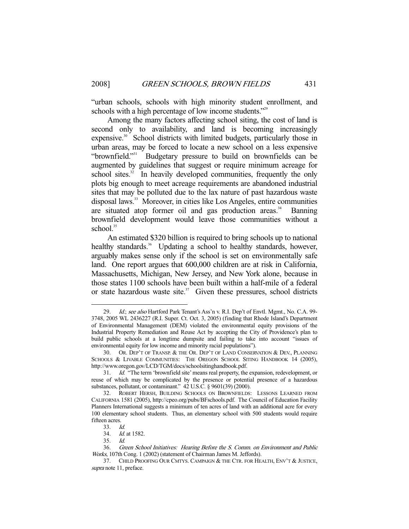"urban schools, schools with high minority student enrollment, and schools with a high percentage of low income students."<sup>29</sup>

 Among the many factors affecting school siting, the cost of land is second only to availability, and land is becoming increasingly expensive.<sup>30</sup> School districts with limited budgets, particularly those in urban areas, may be forced to locate a new school on a less expensive "brownfield."31 Budgetary pressure to build on brownfields can be augmented by guidelines that suggest or require minimum acreage for school sites. $32$  In heavily developed communities, frequently the only plots big enough to meet acreage requirements are abandoned industrial sites that may be polluted due to the lax nature of past hazardous waste disposal laws.<sup>33</sup> Moreover, in cities like Los Angeles, entire communities are situated atop former oil and gas production areas. $34$  Banning brownfield development would leave those communities without a school.<sup>35</sup>

 An estimated \$320 billion is required to bring schools up to national healthy standards.<sup>36</sup> Updating a school to healthy standards, however, arguably makes sense only if the school is set on environmentally safe land. One report argues that 600,000 children are at risk in California, Massachusetts, Michigan, New Jersey, and New York alone, because in those states 1100 schools have been built within a half-mile of a federal or state hazardous waste site. $37$  Given these pressures, school districts

<sup>29.</sup> *Id.; see also* Hartford Park Tenant's Ass'n v. R.I. Dep't of Envtl. Mgmt., No. C.A. 99-3748, 2005 WL 2436227 (R.I. Super. Ct. Oct. 3, 2005) (finding that Rhode Island's Department of Environmental Management (DEM) violated the environmental equity provisions of the Industrial Property Remediation and Reuse Act by accepting the City of Providence's plan to build public schools at a longtime dumpsite and failing to take into account "issues of environmental equity for low income and minority racial populations").

 <sup>30.</sup> OR. DEP'T OF TRANSP. & THE OR. DEP'T OF LAND CONSERVATION & DEV., PLANNING SCHOOLS & LIVABLE COMMUNITIES: THE OREGON SCHOOL SITING HANDBOOK 14 (2005), http://www.oregon.gov/LCD/TGM/docs/schoolsitinghandbook.pdf.

 <sup>31.</sup> Id. "The term 'brownfield site' means real property, the expansion, redevelopment, or reuse of which may be complicated by the presence or potential presence of a hazardous substances, pollutant, or contaminant." 42 U.S.C. § 9601(39) (2000).

 <sup>32.</sup> ROBERT HERSH, BUILDING SCHOOLS ON BROWNFIELDS: LESSONS LEARNED FROM CALIFORNIA 1581 (2005), http://cpeo.org/pubs/BFschools.pdf. The Council of Education Facility Planners International suggests a minimum of ten acres of land with an additional acre for every 100 elementary school students. Thus, an elementary school with 500 students would require fifteen acres.

<sup>33.</sup> *Id.*<br>34. *Id.* 

Id. at 1582.

 <sup>35.</sup> Id.

 <sup>36.</sup> Green School Initiatives: Hearing Before the S. Comm. on Environment and Public Works, 107th Cong. 1 (2002) (statement of Chairman James M. Jeffords).

 <sup>37.</sup> CHILD PROOFING OUR CMTYS. CAMPAIGN & THE CTR. FOR HEALTH, ENV'T & JUSTICE, supra note 11, preface.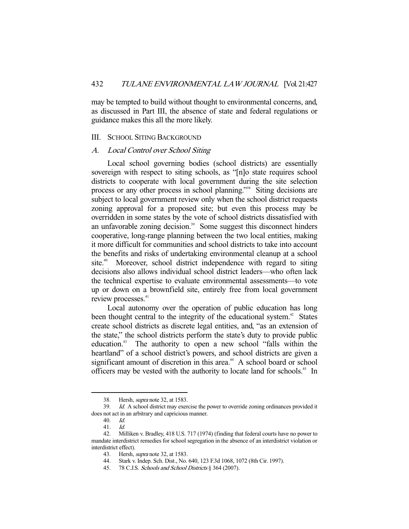may be tempted to build without thought to environmental concerns, and, as discussed in Part III, the absence of state and federal regulations or guidance makes this all the more likely.

#### III. SCHOOL SITING BACKGROUND

### A. Local Control over School Siting

 Local school governing bodies (school districts) are essentially sovereign with respect to siting schools, as "[n]o state requires school districts to cooperate with local government during the site selection process or any other process in school planning."<sup>38</sup> Siting decisions are subject to local government review only when the school district requests zoning approval for a proposed site; but even this process may be overridden in some states by the vote of school districts dissatisfied with an unfavorable zoning decision. $39$  Some suggest this disconnect hinders cooperative, long-range planning between the two local entities, making it more difficult for communities and school districts to take into account the benefits and risks of undertaking environmental cleanup at a school site.<sup>40</sup> Moreover, school district independence with regard to siting decisions also allows individual school district leaders—who often lack the technical expertise to evaluate environmental assessments—to vote up or down on a brownfield site, entirely free from local government review processes.<sup>41</sup>

 Local autonomy over the operation of public education has long been thought central to the integrity of the educational system.<sup> $42$ </sup> States create school districts as discrete legal entities, and, "as an extension of the state," the school districts perform the state's duty to provide public education.43 The authority to open a new school "falls within the heartland" of a school district's powers, and school districts are given a significant amount of discretion in this area.<sup>44</sup> A school board or school officers may be vested with the authority to locate land for schools.<sup>45</sup> In

 <sup>38.</sup> Hersh, supra note 32, at 1583.

<sup>39.</sup> Id. A school district may exercise the power to override zoning ordinances provided it does not act in an arbitrary and capricious manner.

 <sup>40.</sup> Id.

 <sup>41.</sup> Id.

 <sup>42.</sup> Milliken v. Bradley, 418 U.S. 717 (1974) (finding that federal courts have no power to mandate interdistrict remedies for school segregation in the absence of an interdistrict violation or interdistrict effect).

 <sup>43.</sup> Hersh, supra note 32, at 1583.

 <sup>44.</sup> Stark v. Indep. Sch. Dist., No. 640, 123 F.3d 1068, 1072 (8th Cir. 1997).

 <sup>45. 78</sup> C.J.S. Schools and School Districts § 364 (2007).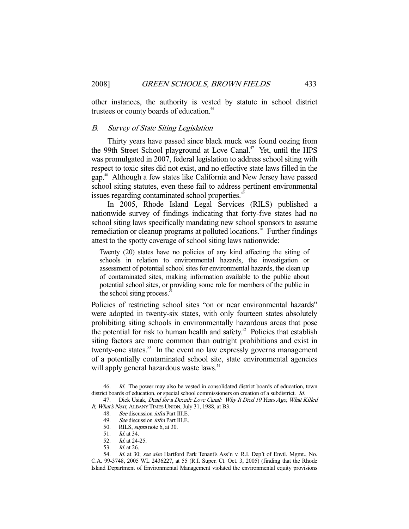other instances, the authority is vested by statute in school district trustees or county boards of education.<sup>46</sup>

#### B. Survey of State Siting Legislation

 Thirty years have passed since black muck was found oozing from the 99th Street School playground at Love Canal.<sup>47</sup> Yet, until the HPS was promulgated in 2007, federal legislation to address school siting with respect to toxic sites did not exist, and no effective state laws filled in the gap.48 Although a few states like California and New Jersey have passed school siting statutes, even these fail to address pertinent environmental issues regarding contaminated school properties.<sup>49</sup>

 In 2005, Rhode Island Legal Services (RILS) published a nationwide survey of findings indicating that forty-five states had no school siting laws specifically mandating new school sponsors to assume remediation or cleanup programs at polluted locations.<sup>50</sup> Further findings attest to the spotty coverage of school siting laws nationwide:

Twenty (20) states have no policies of any kind affecting the siting of schools in relation to environmental hazards, the investigation or assessment of potential school sites for environmental hazards, the clean up of contaminated sites, making information available to the public about potential school sites, or providing some role for members of the public in the school siting process.<sup>5</sup>

Policies of restricting school sites "on or near environmental hazards" were adopted in twenty-six states, with only fourteen states absolutely prohibiting siting schools in environmentally hazardous areas that pose the potential for risk to human health and safety.<sup>52</sup> Policies that establish siting factors are more common than outright prohibitions and exist in twenty-one states.<sup>53</sup> In the event no law expressly governs management of a potentially contaminated school site, state environmental agencies will apply general hazardous waste laws.<sup>54</sup>

<sup>46.</sup> *Id.* The power may also be vested in consolidated district boards of education, town district boards of education, or special school commissioners on creation of a subdistrict. Id.

<sup>47.</sup> Dick Usiak, Dead for a Decade Love Canal: Why It Died 10 Years Ago, What Killed It, What's Next, ALBANY TIMES UNION, July 31, 1988, at B3.

<sup>48.</sup> See discussion *infra* Part III.E.

<sup>49.</sup> See discussion *infra* Part III.E.

 <sup>50.</sup> RILS, supra note 6, at 30.

 <sup>51.</sup> Id. at 34.

 <sup>52.</sup> Id. at 24-25.

 <sup>53.</sup> Id. at 26.

<sup>54.</sup> Id. at 30; see also Hartford Park Tenant's Ass'n v. R.I. Dep't of Envtl. Mgmt., No. C.A. 99-3748, 2005 WL 2436227, at 55 (R.I. Super. Ct. Oct. 3, 2005) (finding that the Rhode Island Department of Environmental Management violated the environmental equity provisions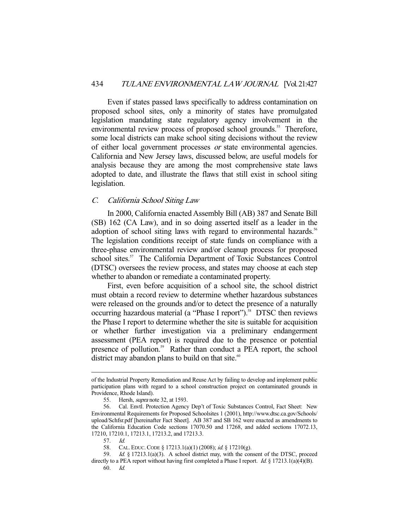Even if states passed laws specifically to address contamination on proposed school sites, only a minority of states have promulgated legislation mandating state regulatory agency involvement in the environmental review process of proposed school grounds.<sup>55</sup> Therefore, some local districts can make school siting decisions without the review of either local government processes or state environmental agencies. California and New Jersey laws, discussed below, are useful models for analysis because they are among the most comprehensive state laws adopted to date, and illustrate the flaws that still exist in school siting legislation.

#### C. California School Siting Law

 In 2000, California enacted Assembly Bill (AB) 387 and Senate Bill (SB) 162 (CA Law), and in so doing asserted itself as a leader in the adoption of school siting laws with regard to environmental hazards.<sup>56</sup> The legislation conditions receipt of state funds on compliance with a three-phase environmental review and/or cleanup process for proposed school sites.<sup>57</sup> The California Department of Toxic Substances Control (DTSC) oversees the review process, and states may choose at each step whether to abandon or remediate a contaminated property.

 First, even before acquisition of a school site, the school district must obtain a record review to determine whether hazardous substances were released on the grounds and/or to detect the presence of a naturally occurring hazardous material (a "Phase I report").<sup>58</sup> DTSC then reviews the Phase I report to determine whether the site is suitable for acquisition or whether further investigation via a preliminary endangerment assessment (PEA report) is required due to the presence or potential presence of pollution.<sup>59</sup> Rather than conduct a PEA report, the school district may abandon plans to build on that site. $\degree$ 

of the Industrial Property Remediation and Reuse Act by failing to develop and implement public participation plans with regard to a school construction project on contaminated grounds in Providence, Rhode Island).

 <sup>55.</sup> Hersh, supra note 32, at 1593.

 <sup>56.</sup> Cal. Envtl. Protection Agency Dep't of Toxic Substances Control, Fact Sheet: New Environmental Requirements for Proposed Schoolsites 1 (2001), http://www.dtsc.ca.gov/Schools/ upload/Schfsr.pdf [hereinafter Fact Sheet]. AB 387 and SB 162 were enacted as amendments to the California Education Code sections 17070.50 and 17268, and added sections 17072.13, 17210, 17210.1, 17213.1, 17213.2, and 17213.3.

 <sup>57.</sup> Id.

<sup>58.</sup> CAL. EDUC. CODE § 17213.1(a)(1) (2008); id. § 17210(g).

 <sup>59.</sup> Id. § 17213.1(a)(3). A school district may, with the consent of the DTSC, proceed directly to a PEA report without having first completed a Phase I report. Id. § 17213.1(a)(4)(B). 60. Id.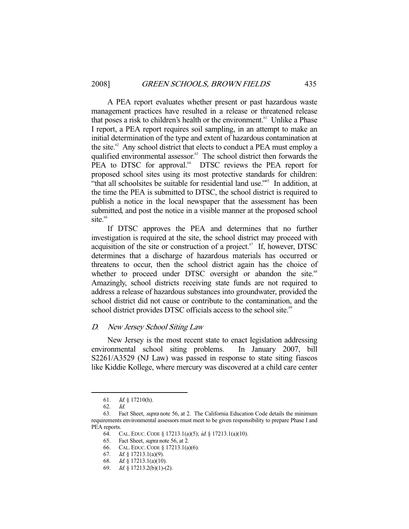A PEA report evaluates whether present or past hazardous waste management practices have resulted in a release or threatened release that poses a risk to children's health or the environment.<sup>61</sup> Unlike a Phase I report, a PEA report requires soil sampling, in an attempt to make an initial determination of the type and extent of hazardous contamination at the site. $62$  Any school district that elects to conduct a PEA must employ a qualified environmental assessor.<sup>63</sup> The school district then forwards the PEA to DTSC for approval.<sup>64</sup> DTSC reviews the PEA report for proposed school sites using its most protective standards for children: "that all schoolsites be suitable for residential land use."<sup>65</sup> In addition, at the time the PEA is submitted to DTSC, the school district is required to publish a notice in the local newspaper that the assessment has been submitted, and post the notice in a visible manner at the proposed school  $site.<sup>66</sup>$ 

 If DTSC approves the PEA and determines that no further investigation is required at the site, the school district may proceed with acquisition of the site or construction of a project. $67$  If, however, DTSC determines that a discharge of hazardous materials has occurred or threatens to occur, then the school district again has the choice of whether to proceed under DTSC oversight or abandon the site.<sup>68</sup> Amazingly, school districts receiving state funds are not required to address a release of hazardous substances into groundwater, provided the school district did not cause or contribute to the contamination, and the school district provides DTSC officials access to the school site.<sup>69</sup>

#### D. New Jersey School Siting Law

 New Jersey is the most recent state to enact legislation addressing environmental school siting problems. In January 2007, bill S2261/A3529 (NJ Law) was passed in response to state siting fiascos like Kiddie Kollege, where mercury was discovered at a child care center

 <sup>61.</sup> Id. § 17210(h).

 <sup>62.</sup> Id.

 <sup>63.</sup> Fact Sheet, supra note 56, at 2. The California Education Code details the minimum requirements environmental assessors must meet to be given responsibility to prepare Phase I and PEA reports.

 <sup>64.</sup> CAL. EDUC.CODE § 17213.1(a)(5); id. § 17213.1(a)(10).

<sup>65.</sup> Fact Sheet, *supra* note 56, at 2.

 <sup>66.</sup> CAL. EDUC.CODE § 17213.1(a)(6).

 <sup>67.</sup> Id. § 17213.1(a)(9).

 <sup>68.</sup> Id. § 17213.1(a)(10).

 <sup>69.</sup> Id. § 17213.2(b)(1)-(2).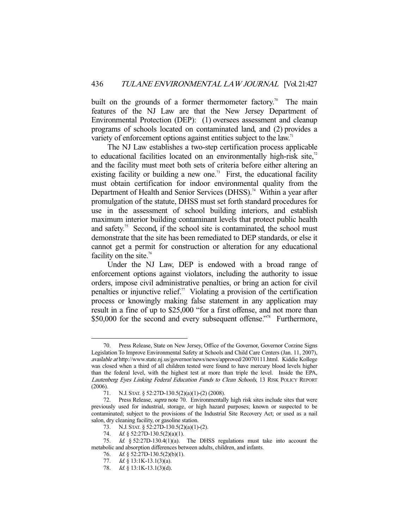built on the grounds of a former thermometer factory.<sup>70</sup> The main features of the NJ Law are that the New Jersey Department of Environmental Protection (DEP): (1) oversees assessment and cleanup programs of schools located on contaminated land, and (2) provides a variety of enforcement options against entities subject to the law.<sup>71</sup>

 The NJ Law establishes a two-step certification process applicable to educational facilities located on an environmentally high-risk site, $\alpha$ <sup>2</sup> and the facility must meet both sets of criteria before either altering an existing facility or building a new one.<sup>73</sup> First, the educational facility must obtain certification for indoor environmental quality from the Department of Health and Senior Services (DHSS).<sup>74</sup> Within a year after promulgation of the statute, DHSS must set forth standard procedures for use in the assessment of school building interiors, and establish maximum interior building contaminant levels that protect public health and safety.<sup>75</sup> Second, if the school site is contaminated, the school must demonstrate that the site has been remediated to DEP standards, or else it cannot get a permit for construction or alteration for any educational facility on the site.<sup>76</sup>

 Under the NJ Law, DEP is endowed with a broad range of enforcement options against violators, including the authority to issue orders, impose civil administrative penalties, or bring an action for civil penalties or injunctive relief.<sup>77</sup> Violating a provision of the certification process or knowingly making false statement in any application may result in a fine of up to \$25,000 "for a first offense, and not more than \$50,000 for the second and every subsequent offense."<sup>78</sup> Furthermore,

Press Release, State on New Jersey, Office of the Governor, Governor Corzine Signs Legislation To Improve Environmental Safety at Schools and Child Care Centers (Jan. 11, 2007), available at http://www.state.nj.us/governor/news/news/approved/20070111.html. Kiddie Kollege was closed when a third of all children tested were found to have mercury blood levels higher than the federal level, with the highest test at more than triple the level. Inside the EPA, Lautenberg Eyes Linking Federal Education Funds to Clean Schools, 13 RISK POLICY REPORT (2006).

 <sup>71.</sup> N.J. STAT. § 52:27D-130.5(2)(a)(1)-(2) (2008).

 <sup>72.</sup> Press Release, supra note 70. Environmentally high risk sites include sites that were previously used for industrial, storage, or high hazard purposes; known or suspected to be contaminated; subject to the provisions of the Industrial Site Recovery Act; or used as a nail salon, dry cleaning facility, or gasoline station.

 <sup>73.</sup> N.J. STAT. § 52:27D-130.5(2)(a)(1)-(2).

<sup>74.</sup> *Id.* § 52:27D-130.5(2)(a)(1).

 <sup>75.</sup> Id. § 52:27D-130.4(1)(a). The DHSS regulations must take into account the metabolic and absorption differences between adults, children, and infants.

<sup>76.</sup> *Id.* § 52:27D-130.5(2)(b)(1).

<sup>77.</sup> *Id.* § 13:1K-13.1(3)(a).

<sup>78.</sup> *Id.* § 13:1K-13.1(3)(d).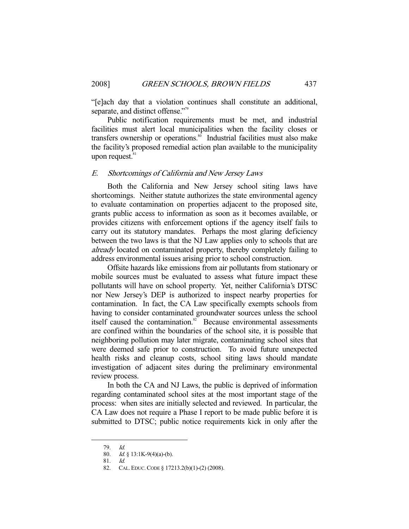"[e]ach day that a violation continues shall constitute an additional, separate, and distinct offense."<sup>79</sup>

 Public notification requirements must be met, and industrial facilities must alert local municipalities when the facility closes or transfers ownership or operations. $\frac{80}{30}$  Industrial facilities must also make the facility's proposed remedial action plan available to the municipality upon request. $81$ 

#### E. Shortcomings of California and New Jersey Laws

 Both the California and New Jersey school siting laws have shortcomings. Neither statute authorizes the state environmental agency to evaluate contamination on properties adjacent to the proposed site, grants public access to information as soon as it becomes available, or provides citizens with enforcement options if the agency itself fails to carry out its statutory mandates. Perhaps the most glaring deficiency between the two laws is that the NJ Law applies only to schools that are already located on contaminated property, thereby completely failing to address environmental issues arising prior to school construction.

 Offsite hazards like emissions from air pollutants from stationary or mobile sources must be evaluated to assess what future impact these pollutants will have on school property. Yet, neither California's DTSC nor New Jersey's DEP is authorized to inspect nearby properties for contamination. In fact, the CA Law specifically exempts schools from having to consider contaminated groundwater sources unless the school itself caused the contamination.<sup>82</sup> Because environmental assessments are confined within the boundaries of the school site, it is possible that neighboring pollution may later migrate, contaminating school sites that were deemed safe prior to construction. To avoid future unexpected health risks and cleanup costs, school siting laws should mandate investigation of adjacent sites during the preliminary environmental review process.

 In both the CA and NJ Laws, the public is deprived of information regarding contaminated school sites at the most important stage of the process: when sites are initially selected and reviewed. In particular, the CA Law does not require a Phase I report to be made public before it is submitted to DTSC; public notice requirements kick in only after the

 <sup>79.</sup> Id.

<sup>80.</sup> Id. § 13:1K-9(4)(a)-(b).

 <sup>81.</sup> Id.

 <sup>82.</sup> CAL. EDUC.CODE § 17213.2(b)(1)-(2) (2008).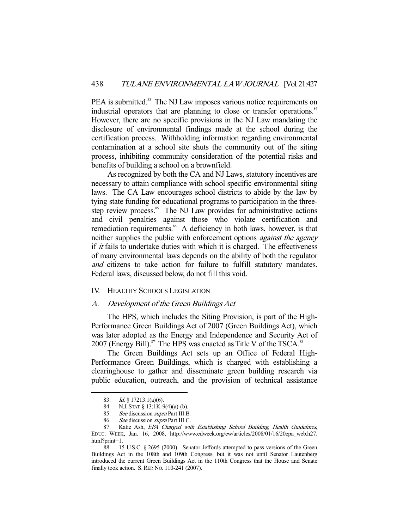PEA is submitted.<sup>83</sup> The NJ Law imposes various notice requirements on industrial operators that are planning to close or transfer operations.<sup>84</sup> However, there are no specific provisions in the NJ Law mandating the disclosure of environmental findings made at the school during the certification process. Withholding information regarding environmental contamination at a school site shuts the community out of the siting process, inhibiting community consideration of the potential risks and benefits of building a school on a brownfield.

 As recognized by both the CA and NJ Laws, statutory incentives are necessary to attain compliance with school specific environmental siting laws. The CA Law encourages school districts to abide by the law by tying state funding for educational programs to participation in the threestep review process.<sup>85</sup> The NJ Law provides for administrative actions and civil penalties against those who violate certification and remediation requirements.<sup>86</sup> A deficiency in both laws, however, is that neither supplies the public with enforcement options *against the agency* if  $it$  fails to undertake duties with which it is charged. The effectiveness of many environmental laws depends on the ability of both the regulator and citizens to take action for failure to fulfill statutory mandates. Federal laws, discussed below, do not fill this void.

#### IV. HEALTHY SCHOOLS LEGISLATION

#### A. Development of the Green Buildings Act

 The HPS, which includes the Siting Provision, is part of the High-Performance Green Buildings Act of 2007 (Green Buildings Act), which was later adopted as the Energy and Independence and Security Act of 2007 (Energy Bill). $87$  The HPS was enacted as Title V of the TSCA. $88$ 

 The Green Buildings Act sets up an Office of Federal High-Performance Green Buildings, which is charged with establishing a clearinghouse to gather and disseminate green building research via public education, outreach, and the provision of technical assistance

 <sup>83.</sup> Id. § 17213.1(a)(6).

 <sup>84.</sup> N.J. STAT. § 13:1K-9(4)(a)-(b).

<sup>85.</sup> See discussion supra Part III.B.

<sup>86.</sup> See discussion supra Part III.C.

 <sup>87.</sup> Katie Ash, EPA Charged with Establishing School Building, Health Guidelines, EDUC. WEEK, Jan. 16, 2008, http://www.edweek.org/ew/articles/2008/01/16/20epa\_web.h27. html?print=1.

 <sup>88. 15</sup> U.S.C. § 2695 (2000). Senator Jeffords attempted to pass versions of the Green Buildings Act in the 108th and 109th Congress, but it was not until Senator Lautenberg introduced the current Green Buildings Act in the 110th Congress that the House and Senate finally took action. S.REP. NO. 110-241 (2007).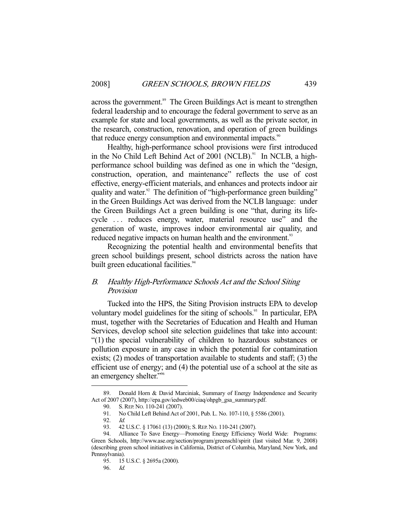across the government.<sup>89</sup> The Green Buildings Act is meant to strengthen federal leadership and to encourage the federal government to serve as an example for state and local governments, as well as the private sector, in the research, construction, renovation, and operation of green buildings that reduce energy consumption and environmental impacts.<sup>90</sup>

 Healthy, high-performance school provisions were first introduced in the No Child Left Behind Act of 2001 (NCLB).<sup>91</sup> In NCLB, a highperformance school building was defined as one in which the "design, construction, operation, and maintenance" reflects the use of cost effective, energy-efficient materials, and enhances and protects indoor air quality and water.<sup>92</sup> The definition of "high-performance green building" in the Green Buildings Act was derived from the NCLB language: under the Green Buildings Act a green building is one "that, during its lifecycle . . . reduces energy, water, material resource use" and the generation of waste, improves indoor environmental air quality, and reduced negative impacts on human health and the environment.<sup>93</sup>

 Recognizing the potential health and environmental benefits that green school buildings present, school districts across the nation have built green educational facilities.<sup>94</sup>

# B. Healthy High-Performance Schools Act and the School Siting Provision

 Tucked into the HPS, the Siting Provision instructs EPA to develop voluntary model guidelines for the siting of schools.<sup>95</sup> In particular, EPA must, together with the Secretaries of Education and Health and Human Services, develop school site selection guidelines that take into account: "(1) the special vulnerability of children to hazardous substances or pollution exposure in any case in which the potential for contamination exists; (2) modes of transportation available to students and staff; (3) the efficient use of energy; and (4) the potential use of a school at the site as an emergency shelter."96

 <sup>89.</sup> Donald Horn & David Marciniak, Summary of Energy Independence and Security Act of 2007 (2007), http://epa.gov/iedweb00/ciaq/ohpgb\_gsa\_summary.pdf.

 <sup>90.</sup> S.REP. NO. 110-241 (2007).

 <sup>91.</sup> No Child Left Behind Act of 2001, Pub. L. No. 107-110, § 5586 (2001).

 <sup>92.</sup> Id.

<sup>93. 42</sup> U.S.C. § 17061 (13) (2000); S. REP. No. 110-241 (2007).

 <sup>94.</sup> Alliance To Save Energy—Promoting Energy Efficiency World Wide: Programs: Green Schools, http://www.ase.org/section/program/greenschl/spirit (last visited Mar. 9, 2008) (describing green school initiatives in California, District of Columbia, Maryland, New York, and Pennsylvania).

 <sup>95. 15</sup> U.S.C. § 2695a (2000).

 <sup>96.</sup> Id.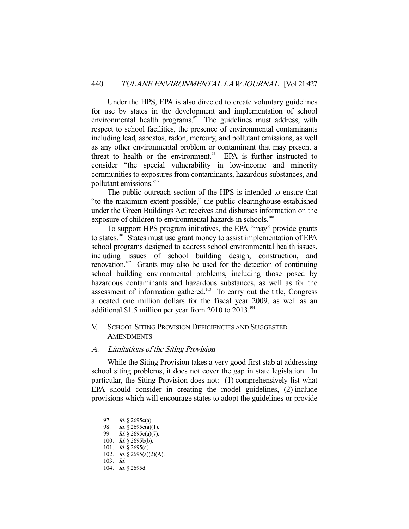Under the HPS, EPA is also directed to create voluntary guidelines for use by states in the development and implementation of school environmental health programs.<sup>97</sup> The guidelines must address, with respect to school facilities, the presence of environmental contaminants including lead, asbestos, radon, mercury, and pollutant emissions, as well as any other environmental problem or contaminant that may present a threat to health or the environment.<sup>98</sup> EPA is further instructed to consider "the special vulnerability in low-income and minority communities to exposures from contaminants, hazardous substances, and pollutant emissions."99

 The public outreach section of the HPS is intended to ensure that "to the maximum extent possible," the public clearinghouse established under the Green Buildings Act receives and disburses information on the exposure of children to environmental hazards in schools.<sup>100</sup>

 To support HPS program initiatives, the EPA "may" provide grants to states.<sup>101</sup> States must use grant money to assist implementation of EPA school programs designed to address school environmental health issues, including issues of school building design, construction, and renovation.102 Grants may also be used for the detection of continuing school building environmental problems, including those posed by hazardous contaminants and hazardous substances, as well as for the assessment of information gathered.<sup>103</sup> To carry out the title, Congress allocated one million dollars for the fiscal year 2009, as well as an additional \$1.5 million per year from 2010 to 2013.<sup>104</sup>

# V. SCHOOL SITING PROVISION DEFICIENCIES AND SUGGESTED **AMENDMENTS**

#### A. Limitations of the Siting Provision

 While the Siting Provision takes a very good first stab at addressing school siting problems, it does not cover the gap in state legislation. In particular, the Siting Provision does not: (1) comprehensively list what EPA should consider in creating the model guidelines, (2) include provisions which will encourage states to adopt the guidelines or provide

 <sup>97.</sup> Id. § 2695c(a).

<sup>98.</sup> *Id.*  $\frac{1}{9}$  2695c(a)(1).

<sup>99.</sup> *Id.* § 2695c(a)(7).

<sup>100.</sup> *Id.*  $\S$  2695b(b).

<sup>101.</sup> *Id.* § 2695(a).

 <sup>102.</sup> Id. § 2695(a)(2)(A).

 <sup>103.</sup> Id.

 <sup>104.</sup> Id. § 2695d.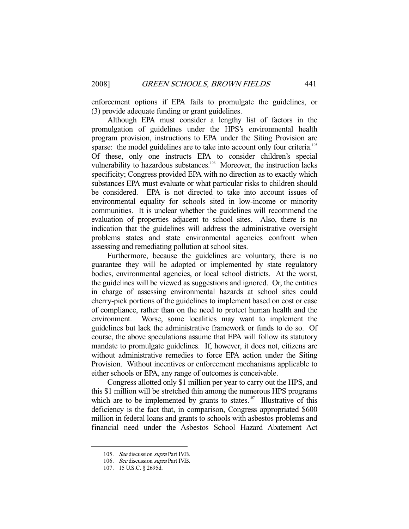enforcement options if EPA fails to promulgate the guidelines, or (3) provide adequate funding or grant guidelines.

 Although EPA must consider a lengthy list of factors in the promulgation of guidelines under the HPS's environmental health program provision, instructions to EPA under the Siting Provision are sparse: the model guidelines are to take into account only four criteria.<sup>105</sup> Of these, only one instructs EPA to consider children's special vulnerability to hazardous substances.<sup>106</sup> Moreover, the instruction lacks specificity; Congress provided EPA with no direction as to exactly which substances EPA must evaluate or what particular risks to children should be considered. EPA is not directed to take into account issues of environmental equality for schools sited in low-income or minority communities. It is unclear whether the guidelines will recommend the evaluation of properties adjacent to school sites. Also, there is no indication that the guidelines will address the administrative oversight problems states and state environmental agencies confront when assessing and remediating pollution at school sites.

 Furthermore, because the guidelines are voluntary, there is no guarantee they will be adopted or implemented by state regulatory bodies, environmental agencies, or local school districts. At the worst, the guidelines will be viewed as suggestions and ignored. Or, the entities in charge of assessing environmental hazards at school sites could cherry-pick portions of the guidelines to implement based on cost or ease of compliance, rather than on the need to protect human health and the environment. Worse, some localities may want to implement the guidelines but lack the administrative framework or funds to do so. Of course, the above speculations assume that EPA will follow its statutory mandate to promulgate guidelines. If, however, it does not, citizens are without administrative remedies to force EPA action under the Siting Provision. Without incentives or enforcement mechanisms applicable to either schools or EPA, any range of outcomes is conceivable.

 Congress allotted only \$1 million per year to carry out the HPS, and this \$1 million will be stretched thin among the numerous HPS programs which are to be implemented by grants to states.<sup>107</sup> Illustrative of this deficiency is the fact that, in comparison, Congress appropriated \$600 million in federal loans and grants to schools with asbestos problems and financial need under the Asbestos School Hazard Abatement Act

<sup>105.</sup> See discussion supra Part IV.B.

<sup>106.</sup> See discussion supra Part IV.B.

 <sup>107. 15</sup> U.S.C. § 2695d.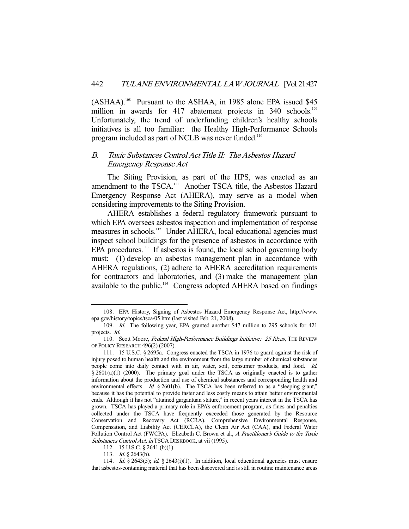(ASHAA).<sup>108</sup> Pursuant to the ASHAA, in 1985 alone EPA issued \$45 million in awards for 417 abatement projects in 340 schools.<sup>109</sup> Unfortunately, the trend of underfunding children's healthy schools initiatives is all too familiar: the Healthy High-Performance Schools program included as part of NCLB was never funded.<sup>110</sup>

## B. Toxic Substances Control Act Title II: The Asbestos Hazard Emergency Response Act

 The Siting Provision, as part of the HPS, was enacted as an amendment to the TSCA.<sup>111</sup> Another TSCA title, the Asbestos Hazard Emergency Response Act (AHERA), may serve as a model when considering improvements to the Siting Provision.

 AHERA establishes a federal regulatory framework pursuant to which EPA oversees asbestos inspection and implementation of response measures in schools.<sup>112</sup> Under AHERA, local educational agencies must inspect school buildings for the presence of asbestos in accordance with EPA procedures.<sup>113</sup> If asbestos is found, the local school governing body must: (1) develop an asbestos management plan in accordance with AHERA regulations, (2) adhere to AHERA accreditation requirements for contractors and laboratories, and (3) make the management plan available to the public.<sup>114</sup> Congress adopted AHERA based on findings

 <sup>108.</sup> EPA History, Signing of Asbestos Hazard Emergency Response Act, http://www. epa.gov/history/topics/tsca/05.htm (last visited Feb. 21, 2008).

 <sup>109.</sup> Id. The following year, EPA granted another \$47 million to 295 schools for 421 projects. Id.

<sup>110.</sup> Scott Moore, Federal High-Performance Buildings Initiative: 25 Ideas, THE REVIEW OF POLICY RESEARCH 496(2) (2007).

 <sup>111. 15</sup> U.S.C. § 2695a. Congress enacted the TSCA in 1976 to guard against the risk of injury posed to human health and the environment from the large number of chemical substances people come into daily contact with in air, water, soil, consumer products, and food. Id. § 2601(a)(1) (2000). The primary goal under the TSCA as originally enacted is to gather information about the production and use of chemical substances and corresponding health and environmental effects. Id.  $\frac{82601(b)}{b}$ . The TSCA has been referred to as a "sleeping giant," because it has the potential to provide faster and less costly means to attain better environmental ends. Although it has not "attained gargantuan stature," in recent years interest in the TSCA has grown. TSCA has played a primary role in EPA's enforcement program, as fines and penalties collected under the TSCA have frequently exceeded those generated by the Resource Conservation and Recovery Act (RCRA), Comprehensive Environmental Response, Compensation, and Liability Act (CERCLA), the Clean Air Act (CAA), and Federal Water Pollution Control Act (FWCPA). Elizabeth C. Brown et al., A Practitioner's Guide to the Toxic Substances Control Act, in TSCA DESKBOOK, at vii (1995).

 <sup>112. 15</sup> U.S.C. § 2641 (b)(1).

<sup>113.</sup> *Id.* § 2643(b).

<sup>114.</sup> Id. § 2643(5); id. § 2643(i)(1). In addition, local educational agencies must ensure that asbestos-containing material that has been discovered and is still in routine maintenance areas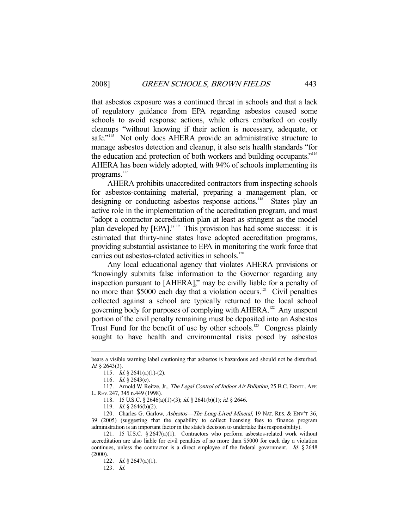that asbestos exposure was a continued threat in schools and that a lack of regulatory guidance from EPA regarding asbestos caused some schools to avoid response actions, while others embarked on costly cleanups "without knowing if their action is necessary, adequate, or safe."<sup>115</sup> Not only does AHERA provide an administrative structure to manage asbestos detection and cleanup, it also sets health standards "for the education and protection of both workers and building occupants."116 AHERA has been widely adopted, with 94% of schools implementing its programs.<sup>117</sup>

 AHERA prohibits unaccredited contractors from inspecting schools for asbestos-containing material, preparing a management plan, or designing or conducting asbestos response actions.<sup>118</sup> States play an active role in the implementation of the accreditation program, and must "adopt a contractor accreditation plan at least as stringent as the model plan developed by [EPA]."<sup>119</sup> This provision has had some success: it is estimated that thirty-nine states have adopted accreditation programs, providing substantial assistance to EPA in monitoring the work force that carries out asbestos-related activities in schools.<sup>120</sup>

 Any local educational agency that violates AHERA provisions or "knowingly submits false information to the Governor regarding any inspection pursuant to [AHERA]," may be civilly liable for a penalty of no more than \$5000 each day that a violation occurs.<sup>121</sup> Civil penalties collected against a school are typically returned to the local school governing body for purposes of complying with AHERA.<sup>122</sup> Any unspent portion of the civil penalty remaining must be deposited into an Asbestos Trust Fund for the benefit of use by other schools.<sup>123</sup> Congress plainly sought to have health and environmental risks posed by asbestos

bears a visible warning label cautioning that asbestos is hazardous and should not be disturbed. Id. § 2643(3).

<sup>115.</sup> *Id.* § 2641(a)(1)-(2).

 <sup>116.</sup> Id. § 2643(e).

<sup>117.</sup> Arnold W. Reitze, Jr., The Legal Control of Indoor Air Pollution, 25 B.C. ENVTL. AFF. L.REV. 247, 345 n.449 (1998).

<sup>118. 15</sup> U.S.C. § 2646(a)(1)-(3); id. § 2641(b)(1); id. § 2646.

<sup>119.</sup> *Id.* § 2646(b)(2).

 <sup>120.</sup> Charles G. Garlow, Asbestos—The Long-Lived Mineral, 19 NAT. RES. & ENV'T 36, 39 (2005) (suggesting that the capability to collect licensing fees to finance program administration is an important factor in the state's decision to undertake this responsibility).

 <sup>121. 15</sup> U.S.C. § 2647(a)(1). Contractors who perform asbestos-related work without accreditation are also liable for civil penalties of no more than \$5000 for each day a violation continues, unless the contractor is a direct employee of the federal government. Id.  $§$  2648 (2000).

<sup>122.</sup> *Id.* § 2647(a)(1).

 <sup>123.</sup> Id.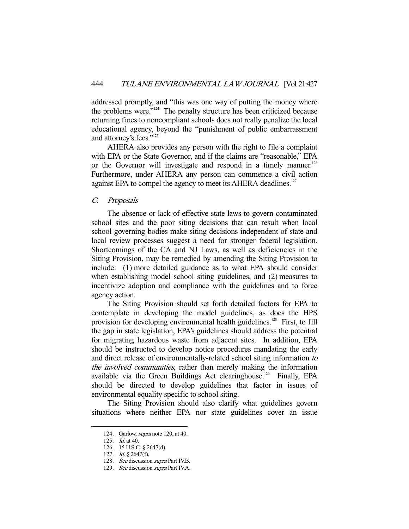addressed promptly, and "this was one way of putting the money where the problems were."124 The penalty structure has been criticized because returning fines to noncompliant schools does not really penalize the local educational agency, beyond the "punishment of public embarrassment and attorney's fees."125

 AHERA also provides any person with the right to file a complaint with EPA or the State Governor, and if the claims are "reasonable," EPA or the Governor will investigate and respond in a timely manner.<sup>126</sup> Furthermore, under AHERA any person can commence a civil action against EPA to compel the agency to meet its AHERA deadlines.<sup>127</sup>

#### C. Proposals

 The absence or lack of effective state laws to govern contaminated school sites and the poor siting decisions that can result when local school governing bodies make siting decisions independent of state and local review processes suggest a need for stronger federal legislation. Shortcomings of the CA and NJ Laws, as well as deficiencies in the Siting Provision, may be remedied by amending the Siting Provision to include: (1) more detailed guidance as to what EPA should consider when establishing model school siting guidelines, and (2) measures to incentivize adoption and compliance with the guidelines and to force agency action.

 The Siting Provision should set forth detailed factors for EPA to contemplate in developing the model guidelines, as does the HPS provision for developing environmental health guidelines.<sup>128</sup> First, to fill the gap in state legislation, EPA's guidelines should address the potential for migrating hazardous waste from adjacent sites. In addition, EPA should be instructed to develop notice procedures mandating the early and direct release of environmentally-related school siting information to the involved communities, rather than merely making the information available via the Green Buildings Act clearinghouse.<sup>129</sup> Finally, EPA should be directed to develop guidelines that factor in issues of environmental equality specific to school siting.

 The Siting Provision should also clarify what guidelines govern situations where neither EPA nor state guidelines cover an issue

 <sup>124.</sup> Garlow, supra note 120, at 40.

 <sup>125.</sup> Id. at 40.

 <sup>126. 15</sup> U.S.C. § 2647(d).

 <sup>127.</sup> Id. § 2647(f).

<sup>128.</sup> See discussion supra Part IV.B.

<sup>129.</sup> See discussion supra Part IV.A.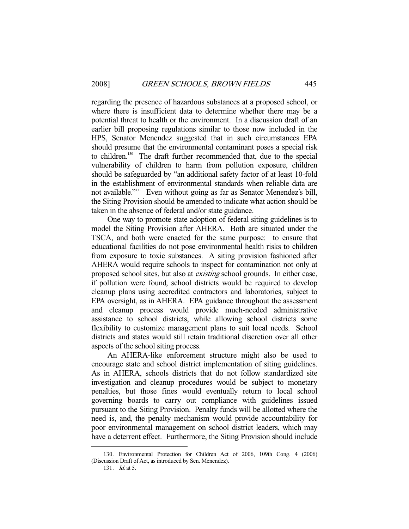regarding the presence of hazardous substances at a proposed school, or where there is insufficient data to determine whether there may be a potential threat to health or the environment. In a discussion draft of an earlier bill proposing regulations similar to those now included in the HPS, Senator Menendez suggested that in such circumstances EPA should presume that the environmental contaminant poses a special risk to children.130 The draft further recommended that, due to the special vulnerability of children to harm from pollution exposure, children should be safeguarded by "an additional safety factor of at least 10-fold in the establishment of environmental standards when reliable data are not available."131 Even without going as far as Senator Menendez's bill, the Siting Provision should be amended to indicate what action should be taken in the absence of federal and/or state guidance.

 One way to promote state adoption of federal siting guidelines is to model the Siting Provision after AHERA. Both are situated under the TSCA, and both were enacted for the same purpose: to ensure that educational facilities do not pose environmental health risks to children from exposure to toxic substances. A siting provision fashioned after AHERA would require schools to inspect for contamination not only at proposed school sites, but also at existing school grounds. In either case, if pollution were found, school districts would be required to develop cleanup plans using accredited contractors and laboratories, subject to EPA oversight, as in AHERA. EPA guidance throughout the assessment and cleanup process would provide much-needed administrative assistance to school districts, while allowing school districts some flexibility to customize management plans to suit local needs. School districts and states would still retain traditional discretion over all other aspects of the school siting process.

 An AHERA-like enforcement structure might also be used to encourage state and school district implementation of siting guidelines. As in AHERA, schools districts that do not follow standardized site investigation and cleanup procedures would be subject to monetary penalties, but those fines would eventually return to local school governing boards to carry out compliance with guidelines issued pursuant to the Siting Provision. Penalty funds will be allotted where the need is, and, the penalty mechanism would provide accountability for poor environmental management on school district leaders, which may have a deterrent effect. Furthermore, the Siting Provision should include

 <sup>130.</sup> Environmental Protection for Children Act of 2006, 109th Cong. 4 (2006) (Discussion Draft of Act, as introduced by Sen. Menendez).

 <sup>131.</sup> Id. at 5.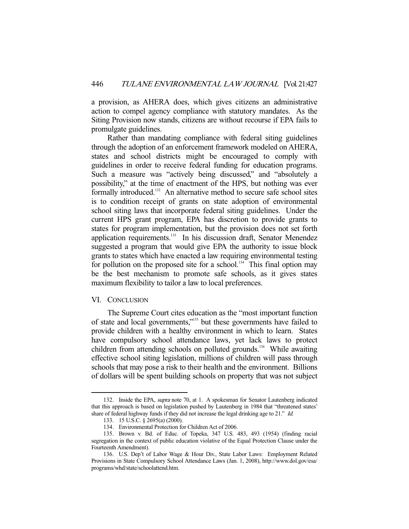a provision, as AHERA does, which gives citizens an administrative action to compel agency compliance with statutory mandates. As the Siting Provision now stands, citizens are without recourse if EPA fails to promulgate guidelines.

 Rather than mandating compliance with federal siting guidelines through the adoption of an enforcement framework modeled on AHERA, states and school districts might be encouraged to comply with guidelines in order to receive federal funding for education programs. Such a measure was "actively being discussed," and "absolutely a possibility," at the time of enactment of the HPS, but nothing was ever formally introduced.<sup>132</sup> An alternative method to secure safe school sites is to condition receipt of grants on state adoption of environmental school siting laws that incorporate federal siting guidelines. Under the current HPS grant program, EPA has discretion to provide grants to states for program implementation, but the provision does not set forth application requirements.<sup>133</sup> In his discussion draft, Senator Menendez suggested a program that would give EPA the authority to issue block grants to states which have enacted a law requiring environmental testing for pollution on the proposed site for a school.<sup>134</sup> This final option may be the best mechanism to promote safe schools, as it gives states maximum flexibility to tailor a law to local preferences.

#### VI. CONCLUSION

-

 The Supreme Court cites education as the "most important function of state and local governments,"135 but these governments have failed to provide children with a healthy environment in which to learn. States have compulsory school attendance laws, yet lack laws to protect children from attending schools on polluted grounds.<sup>136</sup> While awaiting effective school siting legislation, millions of children will pass through schools that may pose a risk to their health and the environment. Billions of dollars will be spent building schools on property that was not subject

<sup>132.</sup> Inside the EPA, *supra* note 70, at 1. A spokesman for Senator Lautenberg indicated that this approach is based on legislation pushed by Lautenberg in 1984 that "threatened states' share of federal highway funds if they did not increase the legal drinking age to 21." Id.

 <sup>133. 15</sup> U.S.C. § 2695(a) (2000).

 <sup>134.</sup> Environmental Protection for Children Act of 2006.

 <sup>135.</sup> Brown v. Bd. of Educ. of Topeka, 347 U.S. 483, 493 (1954) (finding racial segregation in the context of public education violative of the Equal Protection Clause under the Fourteenth Amendment).

 <sup>136.</sup> U.S. Dep't of Labor Wage & Hour Div., State Labor Laws: Employment Related Provisions in State Compulsory School Attendance Laws (Jan. 1, 2008), http://www.dol.gov/esa/ programs/whd/state/schoolattend.htm.